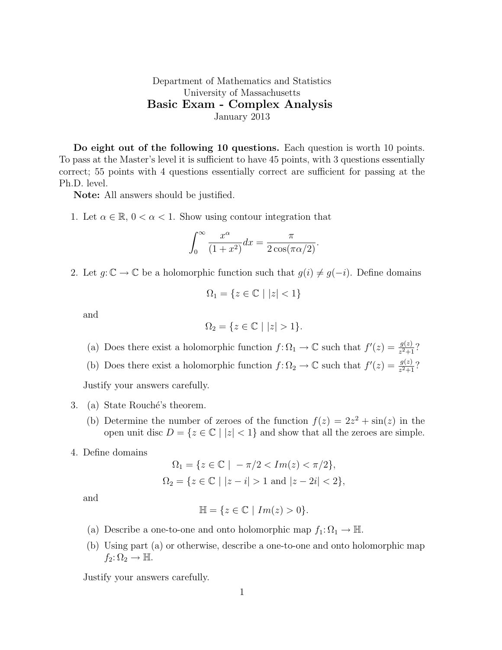## Department of Mathematics and Statistics University of Massachusetts Basic Exam - Complex Analysis January 2013

Do eight out of the following 10 questions. Each question is worth 10 points. To pass at the Master's level it is sufficient to have 45 points, with 3 questions essentially correct; 55 points with 4 questions essentially correct are sufficient for passing at the Ph.D. level.

Note: All answers should be justified.

1. Let  $\alpha \in \mathbb{R}$ ,  $0 < \alpha < 1$ . Show using contour integration that

$$
\int_0^\infty \frac{x^\alpha}{(1+x^2)} dx = \frac{\pi}{2\cos(\pi\alpha/2)}.
$$

2. Let  $g: \mathbb{C} \to \mathbb{C}$  be a holomorphic function such that  $g(i) \neq g(-i)$ . Define domains

$$
\Omega_1 = \{ z \in \mathbb{C} \mid |z| < 1 \}
$$

and

$$
\Omega_2 = \{ z \in \mathbb{C} \mid |z| > 1 \}.
$$

- (a) Does there exist a holomorphic function  $f: \Omega_1 \to \mathbb{C}$  such that  $f'(z) = \frac{g(z)}{z^2+1}$ ?
- (b) Does there exist a holomorphic function  $f: \Omega_2 \to \mathbb{C}$  such that  $f'(z) = \frac{g(z)}{z^2+1}$ ?

Justify your answers carefully.

- 3. (a) State Rouché's theorem.
	- (b) Determine the number of zeroes of the function  $f(z) = 2z^2 + \sin(z)$  in the open unit disc  $D = \{z \in \mathbb{C} \mid |z| < 1\}$  and show that all the zeroes are simple.
- 4. Define domains

$$
\Omega_1 = \{ z \in \mathbb{C} \mid -\pi/2 < Im(z) < \pi/2 \},
$$
  
\n
$$
\Omega_2 = \{ z \in \mathbb{C} \mid |z - i| > 1 \text{ and } |z - 2i| < 2 \},
$$

and

$$
\mathbb{H} = \{ z \in \mathbb{C} \mid Im(z) > 0 \}.
$$

- (a) Describe a one-to-one and onto holomorphic map  $f_1: \Omega_1 \to \mathbb{H}$ .
- (b) Using part (a) or otherwise, describe a one-to-one and onto holomorphic map  $f_2: \Omega_2 \to \mathbb{H}.$

Justify your answers carefully.